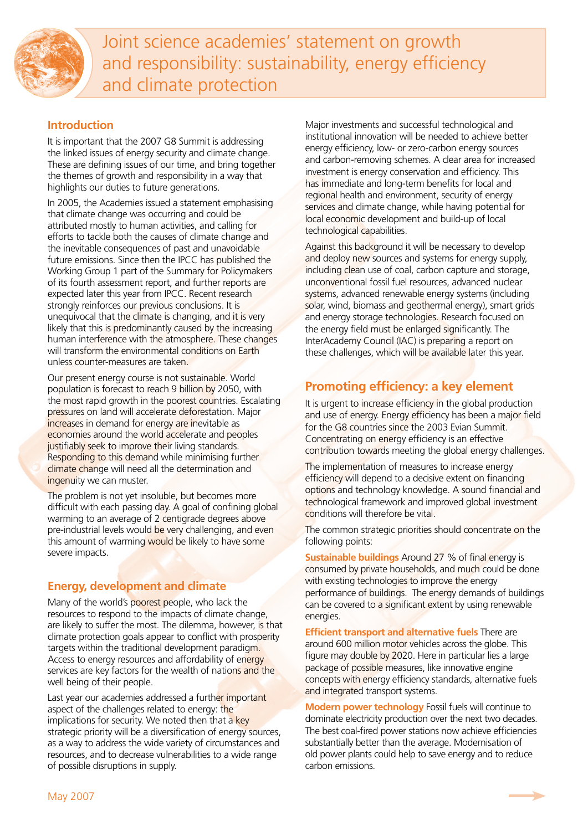

Joint science academies' statement on growth and responsibility: sustainability, energy efficiency and climate protection

### **Introduction**

It is important that the 2007 G8 Summit is addressing the linked issues of energy security and climate change. These are defining issues of our time, and bring together the themes of growth and responsibility in a way that highlights our duties to future generations.

In 2005, the Academies issued a statement emphasising that climate change was occurring and could be attributed mostly to human activities, and calling for efforts to tackle both the causes of climate change and the inevitable consequences of past and unavoidable future emissions. Since then the IPCC has published the Working Group 1 part of the Summary for Policymakers of its fourth assessment report, and further reports are expected later this year from IPCC. Recent research strongly reinforces our previous conclusions. It is unequivocal that the climate is changing, and it is very likely that this is predominantly caused by the increasing human interference with the atmosphere. These changes will transform the environmental conditions on Earth unless counter-measures are taken.

Our present energy course is not sustainable. World population is forecast to reach 9 billion by 2050, with the most rapid growth in the poorest countries. Escalating pressures on land will accelerate deforestation. Major increases in demand for energy are inevitable as economies around the world accelerate and peoples justifiably seek to improve their living standards. Responding to this demand while minimising further climate change will need all the determination and ingenuity we can muster.

The problem is not yet insoluble, but becomes more difficult with each passing day. A goal of confining global warming to an average of 2 centigrade degrees above pre-industrial levels would be very challenging, and even this amount of warming would be likely to have some severe impacts.

## **Energy, development and climate**

Many of the world's poorest people, who lack the resources to respond to the impacts of climate change, are likely to suffer the most. The dilemma, however, is that climate protection goals appear to conflict with prosperity targets within the traditional development paradigm. Access to energy resources and affordability of energy services are key factors for the wealth of nations and the well being of their people.

Last year our academies addressed a further important aspect of the challenges related to energy: the implications for security. We noted then that a key strategic priority will be a diversification of energy sources, as a way to address the wide variety of circumstances and resources, and to decrease vulnerabilities to a wide range of possible disruptions in supply.

Major investments and successful technological and institutional innovation will be needed to achieve better energy efficiency, low- or zero-carbon energy sources and carbon-removing schemes. A clear area for increased investment is energy conservation and efficiency. This has immediate and long-term benefits for local and regional health and environment, security of energy services and climate change, while having potential for local economic development and build-up of local technological capabilities.

Against this background it will be necessary to develop and deploy new sources and systems for energy supply, including clean use of coal, carbon capture and storage, unconventional fossil fuel resources, advanced nuclear systems, advanced renewable energy systems (including solar, wind, biomass and geothermal energy), smart grids and energy storage technologies. Research focused on the energy field must be enlarged significantly. The InterAcademy Council (IAC) is preparing a report on these challenges, which will be available later this year.

# **Promoting efficiency: a key element**

It is urgent to increase efficiency in the global production and use of energy. Energy efficiency has been a major field for the G8 countries since the 2003 Evian Summit. Concentrating on energy efficiency is an effective contribution towards meeting the global energy challenges.

The implementation of measures to increase energy efficiency will depend to a decisive extent on financing options and technology knowledge. A sound financial and technological framework and improved global investment conditions will therefore be vital.

The common strategic priorities should concentrate on the following points:

**Sustainable buildings** Around 27 % of final energy is consumed by private households, and much could be done with existing technologies to improve the energy performance of buildings. The energy demands of buildings can be covered to a significant extent by using renewable energies.

**Efficient transport and alternative fuels** There are around 600 million motor vehicles across the globe. This figure may double by 2020. Here in particular lies a large package of possible measures, like innovative engine concepts with energy efficiency standards, alternative fuels and integrated transport systems.

**Modern power technology** Fossil fuels will continue to dominate electricity production over the next two decades. The best coal-fired power stations now achieve efficiencies substantially better than the average. Modernisation of old power plants could help to save energy and to reduce carbon emissions.